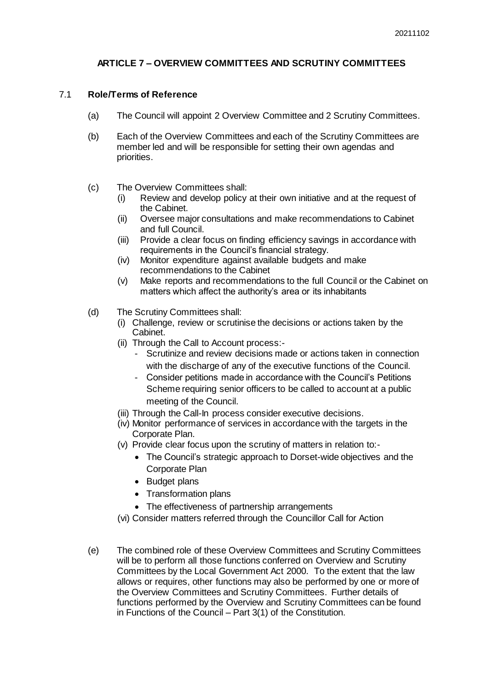## **ARTICLE 7 – OVERVIEW COMMITTEES AND SCRUTINY COMMITTEES**

### 7.1 **Role/Terms of Reference**

- (a) The Council will appoint 2 Overview Committee and 2 Scrutiny Committees.
- (b) Each of the Overview Committees and each of the Scrutiny Committees are member led and will be responsible for setting their own agendas and priorities.
- (c) The Overview Committees shall:
	- (i) Review and develop policy at their own initiative and at the request of the Cabinet.
	- (ii) Oversee major consultations and make recommendations to Cabinet and full Council.
	- (iii) Provide a clear focus on finding efficiency savings in accordance with requirements in the Council's financial strategy.
	- (iv) Monitor expenditure against available budgets and make recommendations to the Cabinet
	- (v) Make reports and recommendations to the full Council or the Cabinet on matters which affect the authority's area or its inhabitants
- (d) The Scrutiny Committees shall:
	- (i) Challenge, review or scrutinise the decisions or actions taken by the Cabinet.
	- (ii) Through the Call to Account process:-
		- Scrutinize and review decisions made or actions taken in connection with the discharge of any of the executive functions of the Council.
		- Consider petitions made in accordance with the Council's Petitions Scheme requiring senior officers to be called to account at a public meeting of the Council.
	- (iii) Through the Call-In process consider executive decisions.
	- (iv) Monitor performance of services in accordance with the targets in the Corporate Plan.
	- (v) Provide clear focus upon the scrutiny of matters in relation to:-
		- The Council's strategic approach to Dorset-wide objectives and the Corporate Plan
		- Budget plans
		- Transformation plans
		- The effectiveness of partnership arrangements
	- (vi) Consider matters referred through the Councillor Call for Action
- (e) The combined role of these Overview Committees and Scrutiny Committees will be to perform all those functions conferred on Overview and Scrutiny Committees by the Local Government Act 2000. To the extent that the law allows or requires, other functions may also be performed by one or more of the Overview Committees and Scrutiny Committees. Further details of functions performed by the Overview and Scrutiny Committees can be found in Functions of the Council – Part 3(1) of the Constitution.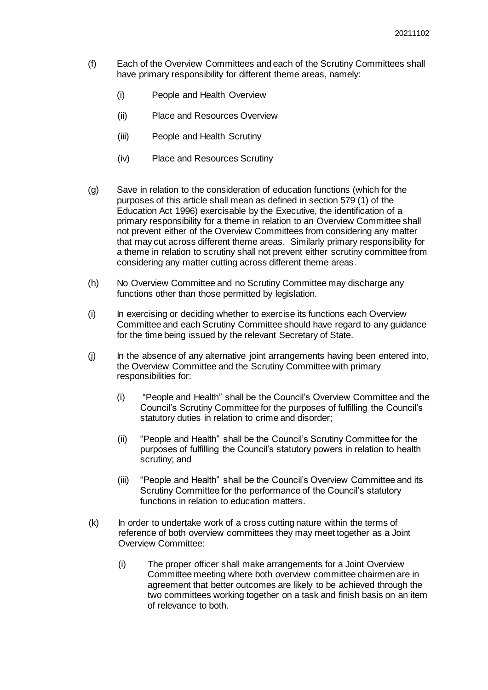- (f) Each of the Overview Committees and each of the Scrutiny Committees shall have primary responsibility for different theme areas, namely:
	- (i) People and Health Overview
	- (ii) Place and Resources Overview
	- (iii) People and Health Scrutiny
	- (iv) Place and Resources Scrutiny
- (g) Save in relation to the consideration of education functions (which for the purposes of this article shall mean as defined in section 579 (1) of the Education Act 1996) exercisable by the Executive, the identification of a primary responsibility for a theme in relation to an Overview Committee shall not prevent either of the Overview Committees from considering any matter that may cut across different theme areas. Similarly primary responsibility for a theme in relation to scrutiny shall not prevent either scrutiny committee from considering any matter cutting across different theme areas.
- (h) No Overview Committee and no Scrutiny Committee may discharge any functions other than those permitted by legislation.
- (i) In exercising or deciding whether to exercise its functions each Overview Committee and each Scrutiny Committee should have regard to any guidance for the time being issued by the relevant Secretary of State.
- (j) In the absence of any alternative joint arrangements having been entered into, the Overview Committee and the Scrutiny Committee with primary responsibilities for:
	- (i) "People and Health" shall be the Council's Overview Committee and the Council's Scrutiny Committee for the purposes of fulfilling the Council's statutory duties in relation to crime and disorder;
	- (ii) "People and Health" shall be the Council's Scrutiny Committee for the purposes of fulfilling the Council's statutory powers in relation to health scrutiny; and
	- (iii) "People and Health" shall be the Council's Overview Committee and its Scrutiny Committee for the performance of the Council's statutory functions in relation to education matters.
- (k) In order to undertake work of a cross cutting nature within the terms of reference of both overview committees they may meet together as a Joint Overview Committee:
	- (i) The proper officer shall make arrangements for a Joint Overview Committee meeting where both overview committee chairmen are in agreement that better outcomes are likely to be achieved through the two committees working together on a task and finish basis on an item of relevance to both.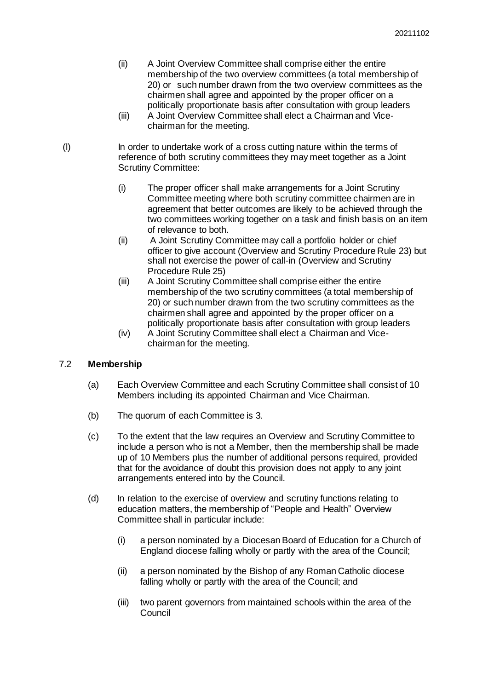- (ii) A Joint Overview Committee shall comprise either the entire membership of the two overview committees (a total membership of 20) or such number drawn from the two overview committees as the chairmen shall agree and appointed by the proper officer on a politically proportionate basis after consultation with group leaders
- (iii) A Joint Overview Committee shall elect a Chairman and Vicechairman for the meeting.
- (l) In order to undertake work of a cross cutting nature within the terms of reference of both scrutiny committees they may meet together as a Joint Scrutiny Committee:
	- (i) The proper officer shall make arrangements for a Joint Scrutiny Committee meeting where both scrutiny committee chairmen are in agreement that better outcomes are likely to be achieved through the two committees working together on a task and finish basis on an item of relevance to both.
	- (ii) A Joint Scrutiny Committee may call a portfolio holder or chief officer to give account (Overview and Scrutiny Procedure Rule 23) but shall not exercise the power of call-in (Overview and Scrutiny Procedure Rule 25)
	- (iii) A Joint Scrutiny Committee shall comprise either the entire membership of the two scrutiny committees (a total membership of 20) or such number drawn from the two scrutiny committees as the chairmen shall agree and appointed by the proper officer on a politically proportionate basis after consultation with group leaders
	- (iv) A Joint Scrutiny Committee shall elect a Chairman and Vicechairman for the meeting.

## 7.2 **Membership**

- (a) Each Overview Committee and each Scrutiny Committee shall consist of 10 Members including its appointed Chairman and Vice Chairman.
- (b) The quorum of each Committee is 3.
- (c) To the extent that the law requires an Overview and Scrutiny Committee to include a person who is not a Member, then the membership shall be made up of 10 Members plus the number of additional persons required, provided that for the avoidance of doubt this provision does not apply to any joint arrangements entered into by the Council.
- (d) In relation to the exercise of overview and scrutiny functions relating to education matters, the membership of "People and Health" Overview Committee shall in particular include:
	- (i) a person nominated by a Diocesan Board of Education for a Church of England diocese falling wholly or partly with the area of the Council;
	- (ii) a person nominated by the Bishop of any Roman Catholic diocese falling wholly or partly with the area of the Council; and
	- (iii) two parent governors from maintained schools within the area of the **Council**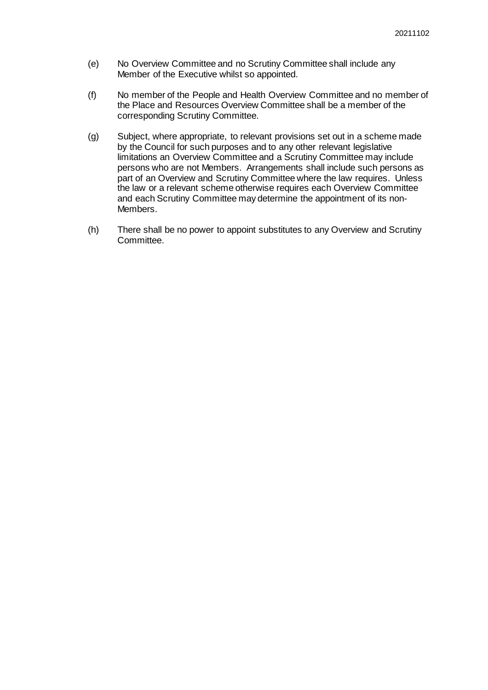- (e) No Overview Committee and no Scrutiny Committee shall include any Member of the Executive whilst so appointed.
- (f) No member of the People and Health Overview Committee and no member of the Place and Resources Overview Committee shall be a member of the corresponding Scrutiny Committee.
- (g) Subject, where appropriate, to relevant provisions set out in a scheme made by the Council for such purposes and to any other relevant legislative limitations an Overview Committee and a Scrutiny Committee may include persons who are not Members. Arrangements shall include such persons as part of an Overview and Scrutiny Committee where the law requires. Unless the law or a relevant scheme otherwise requires each Overview Committee and each Scrutiny Committee may determine the appointment of its non-Members.
- (h) There shall be no power to appoint substitutes to any Overview and Scrutiny Committee.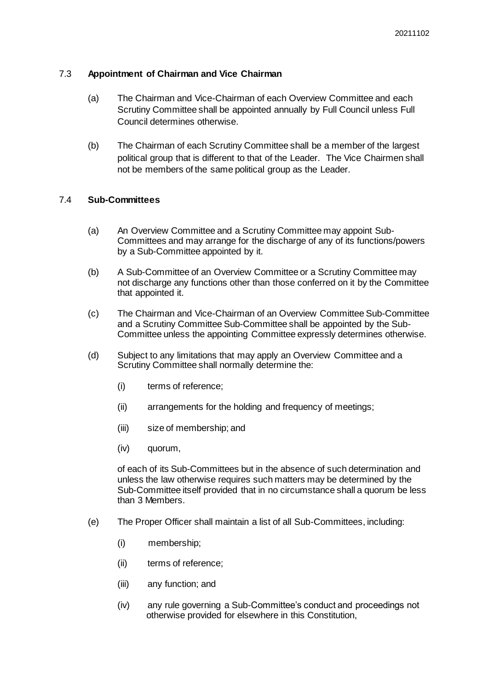## 7.3 **Appointment of Chairman and Vice Chairman**

- (a) The Chairman and Vice-Chairman of each Overview Committee and each Scrutiny Committee shall be appointed annually by Full Council unless Full Council determines otherwise.
- (b) The Chairman of each Scrutiny Committee shall be a member of the largest political group that is different to that of the Leader. The Vice Chairmen shall not be members of the same political group as the Leader.

## 7.4 **Sub-Committees**

- (a) An Overview Committee and a Scrutiny Committee may appoint Sub-Committees and may arrange for the discharge of any of its functions/powers by a Sub-Committee appointed by it.
- (b) A Sub-Committee of an Overview Committee or a Scrutiny Committee may not discharge any functions other than those conferred on it by the Committee that appointed it.
- (c) The Chairman and Vice-Chairman of an Overview Committee Sub-Committee and a Scrutiny Committee Sub-Committee shall be appointed by the Sub-Committee unless the appointing Committee expressly determines otherwise.
- (d) Subject to any limitations that may apply an Overview Committee and a Scrutiny Committee shall normally determine the:
	- (i) terms of reference;
	- (ii) arrangements for the holding and frequency of meetings;
	- (iii) size of membership; and
	- (iv) quorum,

of each of its Sub-Committees but in the absence of such determination and unless the law otherwise requires such matters may be determined by the Sub-Committee itself provided that in no circumstance shall a quorum be less than 3 Members.

- (e) The Proper Officer shall maintain a list of all Sub-Committees, including:
	- (i) membership;
	- (ii) terms of reference;
	- (iii) any function; and
	- (iv) any rule governing a Sub-Committee's conduct and proceedings not otherwise provided for elsewhere in this Constitution,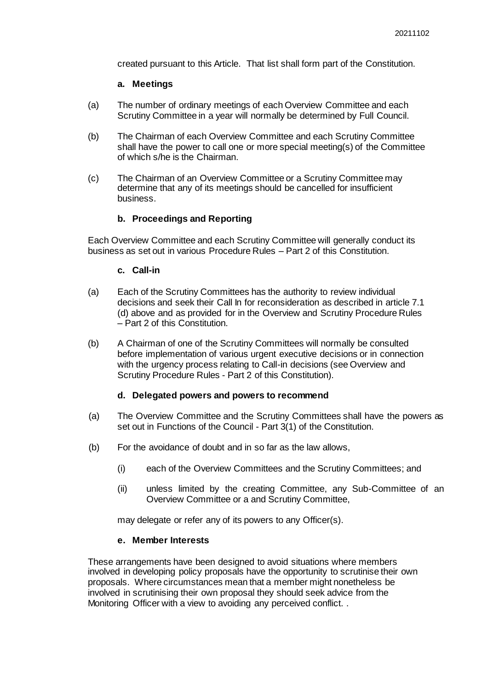created pursuant to this Article. That list shall form part of the Constitution.

#### **a. Meetings**

- (a) The number of ordinary meetings of each Overview Committee and each Scrutiny Committee in a year will normally be determined by Full Council.
- (b) The Chairman of each Overview Committee and each Scrutiny Committee shall have the power to call one or more special meeting(s) of the Committee of which s/he is the Chairman.
- (c) The Chairman of an Overview Committee or a Scrutiny Committee may determine that any of its meetings should be cancelled for insufficient business.

## **b. Proceedings and Reporting**

Each Overview Committee and each Scrutiny Committee will generally conduct its business as set out in various Procedure Rules – Part 2 of this Constitution.

#### **c. Call-in**

- (a) Each of the Scrutiny Committees has the authority to review individual decisions and seek their Call In for reconsideration as described in article 7.1 (d) above and as provided for in the Overview and Scrutiny Procedure Rules – Part 2 of this Constitution.
- (b) A Chairman of one of the Scrutiny Committees will normally be consulted before implementation of various urgent executive decisions or in connection with the urgency process relating to Call-in decisions (see Overview and Scrutiny Procedure Rules - Part 2 of this Constitution).

#### **d. Delegated powers and powers to recommend**

- (a) The Overview Committee and the Scrutiny Committees shall have the powers as set out in Functions of the Council - Part 3(1) of the Constitution.
- (b) For the avoidance of doubt and in so far as the law allows,
	- (i) each of the Overview Committees and the Scrutiny Committees; and
	- (ii) unless limited by the creating Committee, any Sub-Committee of an Overview Committee or a and Scrutiny Committee,

may delegate or refer any of its powers to any Officer(s).

#### **e. Member Interests**

These arrangements have been designed to avoid situations where members involved in developing policy proposals have the opportunity to scrutinise their own proposals. Where circumstances mean that a member might nonetheless be involved in scrutinising their own proposal they should seek advice from the Monitoring Officer with a view to avoiding any perceived conflict. .